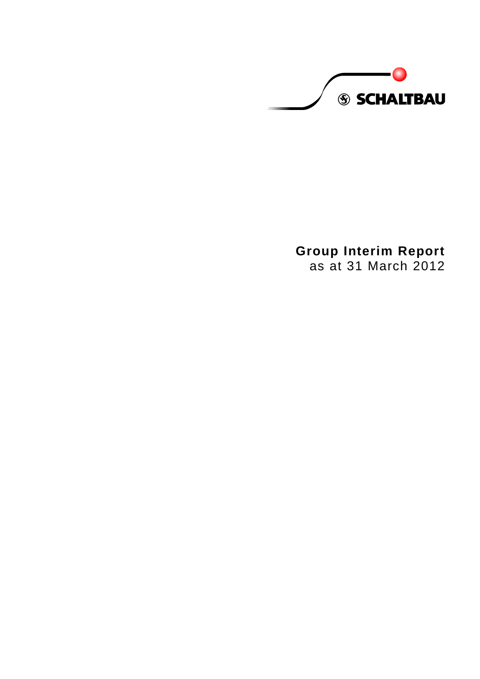**S SCHALTBAU** 

**Group Interim Report** as at 31 March 2012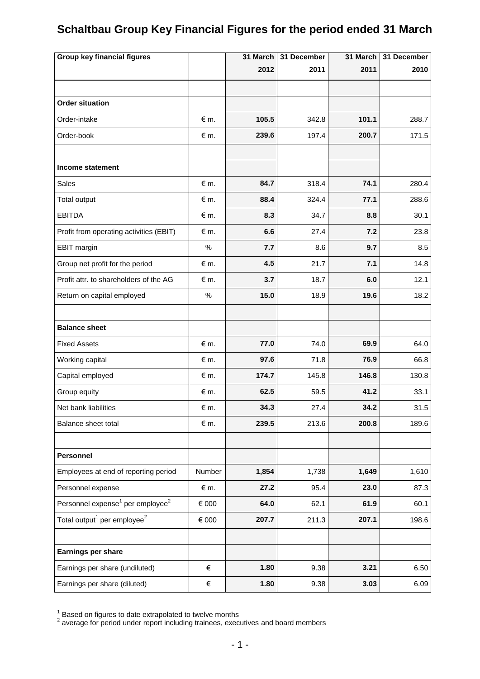# **Schaltbau Group Key Financial Figures for the period ended 31 March**

| <b>Group key financial figures</b>                       |               | 31 March | 31 December | 31 March | 31 December |
|----------------------------------------------------------|---------------|----------|-------------|----------|-------------|
|                                                          |               | 2012     | 2011        | 2011     | 2010        |
|                                                          |               |          |             |          |             |
| <b>Order situation</b>                                   |               |          |             |          |             |
| Order-intake                                             | $\notin$ m.   | 105.5    | 342.8       | 101.1    | 288.7       |
| Order-book                                               | $\notin$ m.   | 239.6    | 197.4       | 200.7    | 171.5       |
|                                                          |               |          |             |          |             |
| Income statement                                         |               |          |             |          |             |
| Sales                                                    | $\notin$ m.   | 84.7     | 318.4       | 74.1     | 280.4       |
| Total output                                             | $\notin$ m.   | 88.4     | 324.4       | 77.1     | 288.6       |
| <b>EBITDA</b>                                            | $\notin$ m.   | 8.3      | 34.7        | 8.8      | 30.1        |
| Profit from operating activities (EBIT)                  | $\notin$ m.   | 6.6      | 27.4        | 7.2      | 23.8        |
| EBIT margin                                              | $\%$          | 7.7      | 8.6         | 9.7      | 8.5         |
| Group net profit for the period                          | $\epsilon$ m. | 4.5      | 21.7        | 7.1      | 14.8        |
| Profit attr. to shareholders of the AG                   | $\notin$ m.   | 3.7      | 18.7        | 6.0      | 12.1        |
| Return on capital employed                               | $\%$          | 15.0     | 18.9        | 19.6     | 18.2        |
|                                                          |               |          |             |          |             |
| <b>Balance sheet</b>                                     |               |          |             |          |             |
| <b>Fixed Assets</b>                                      | $\epsilon$ m. | 77.0     | 74.0        | 69.9     | 64.0        |
| Working capital                                          | $\epsilon$ m. | 97.6     | 71.8        | 76.9     | 66.8        |
| Capital employed                                         | $\notin$ m.   | 174.7    | 145.8       | 146.8    | 130.8       |
| Group equity                                             | $\notin$ m.   | 62.5     | 59.5        | 41.2     | 33.1        |
| Net bank liabilities                                     | $\notin$ m.   | 34.3     | 27.4        | 34.2     | 31.5        |
| Balance sheet total                                      | $\epsilon$ m. | 239.5    | 213.6       | 200.8    | 189.6       |
|                                                          |               |          |             |          |             |
| Personnel                                                |               |          |             |          |             |
| Employees at end of reporting period                     | Number        | 1,854    | 1,738       | 1,649    | 1,610       |
| Personnel expense                                        | € m.          | 27.2     | 95.4        | 23.0     | 87.3        |
| Personnel expense <sup>1</sup> per employee <sup>2</sup> | € 000         | 64.0     | 62.1        | 61.9     | 60.1        |
| Total output <sup>1</sup> per employee <sup>2</sup>      | € 000         | 207.7    | 211.3       | 207.1    | 198.6       |
|                                                          |               |          |             |          |             |
| Earnings per share                                       |               |          |             |          |             |
| Earnings per share (undiluted)                           | €             | 1.80     | 9.38        | 3.21     | 6.50        |
| Earnings per share (diluted)                             | €             | 1.80     | 9.38        | 3.03     | 6.09        |

 $^{\rm 1}$  Based on figures to date extrapolated to twelve months<br><sup>2</sup> average for period under report including trainees, executives and board members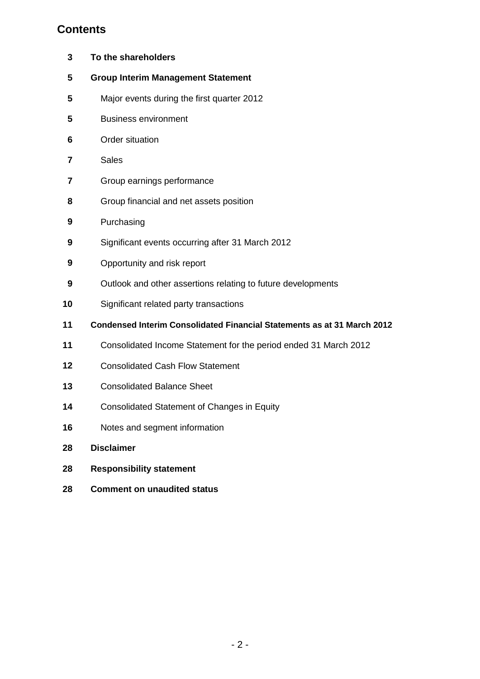# **Contents**

| 3  | To the shareholders                                                            |
|----|--------------------------------------------------------------------------------|
| 5  | <b>Group Interim Management Statement</b>                                      |
| 5  | Major events during the first quarter 2012                                     |
| 5  | <b>Business environment</b>                                                    |
| 6  | Order situation                                                                |
| 7  | <b>Sales</b>                                                                   |
| 7  | Group earnings performance                                                     |
| 8  | Group financial and net assets position                                        |
| 9  | Purchasing                                                                     |
| 9  | Significant events occurring after 31 March 2012                               |
| 9  | Opportunity and risk report                                                    |
| 9  | Outlook and other assertions relating to future developments                   |
| 10 | Significant related party transactions                                         |
| 11 | <b>Condensed Interim Consolidated Financial Statements as at 31 March 2012</b> |
| 11 | Consolidated Income Statement for the period ended 31 March 2012               |
| 12 | <b>Consolidated Cash Flow Statement</b>                                        |
| 13 | <b>Consolidated Balance Sheet</b>                                              |
| 14 | <b>Consolidated Statement of Changes in Equity</b>                             |
| 16 | Notes and segment information                                                  |
| 28 | <b>Disclaimer</b>                                                              |
| 28 | <b>Responsibility statement</b>                                                |
| 28 | <b>Comment on unaudited status</b>                                             |
|    |                                                                                |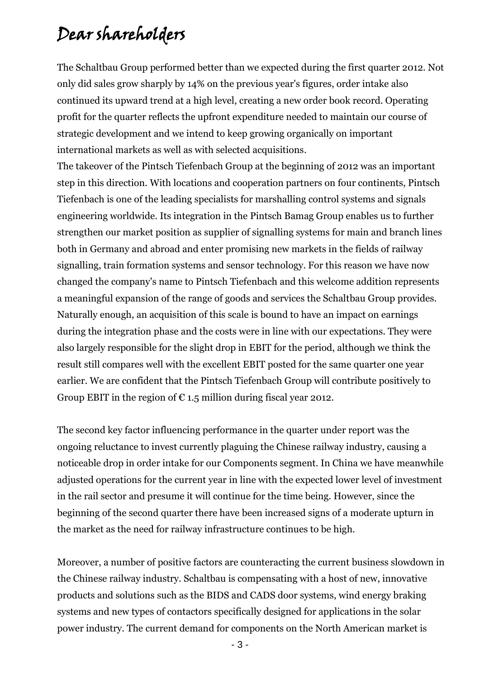# Dear shareholders

The Schaltbau Group performed better than we expected during the first quarter 2012. Not only did sales grow sharply by 14% on the previous year's figures, order intake also continued its upward trend at a high level, creating a new order book record. Operating profit for the quarter reflects the upfront expenditure needed to maintain our course of strategic development and we intend to keep growing organically on important international markets as well as with selected acquisitions.

The takeover of the Pintsch Tiefenbach Group at the beginning of 2012 was an important step in this direction. With locations and cooperation partners on four continents, Pintsch Tiefenbach is one of the leading specialists for marshalling control systems and signals engineering worldwide. Its integration in the Pintsch Bamag Group enables us to further strengthen our market position as supplier of signalling systems for main and branch lines both in Germany and abroad and enter promising new markets in the fields of railway signalling, train formation systems and sensor technology. For this reason we have now changed the company's name to Pintsch Tiefenbach and this welcome addition represents a meaningful expansion of the range of goods and services the Schaltbau Group provides. Naturally enough, an acquisition of this scale is bound to have an impact on earnings during the integration phase and the costs were in line with our expectations. They were also largely responsible for the slight drop in EBIT for the period, although we think the result still compares well with the excellent EBIT posted for the same quarter one year earlier. We are confident that the Pintsch Tiefenbach Group will contribute positively to Group EBIT in the region of  $\epsilon$  1.5 million during fiscal year 2012.

The second key factor influencing performance in the quarter under report was the ongoing reluctance to invest currently plaguing the Chinese railway industry, causing a noticeable drop in order intake for our Components segment. In China we have meanwhile adjusted operations for the current year in line with the expected lower level of investment in the rail sector and presume it will continue for the time being. However, since the beginning of the second quarter there have been increased signs of a moderate upturn in the market as the need for railway infrastructure continues to be high.

Moreover, a number of positive factors are counteracting the current business slowdown in the Chinese railway industry. Schaltbau is compensating with a host of new, innovative products and solutions such as the BIDS and CADS door systems, wind energy braking systems and new types of contactors specifically designed for applications in the solar power industry. The current demand for components on the North American market is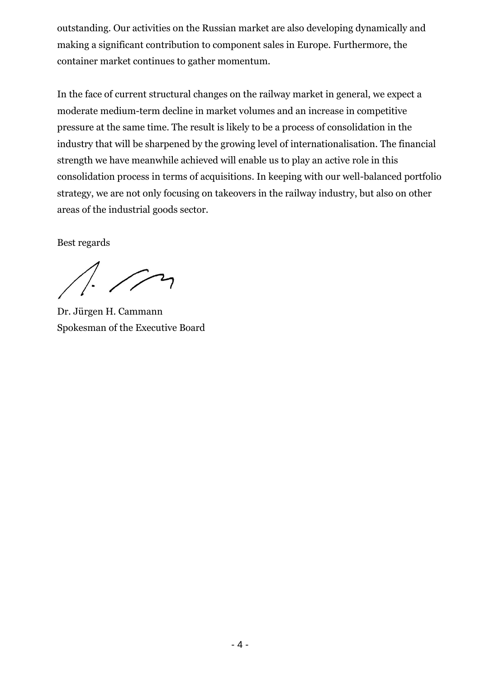outstanding. Our activities on the Russian market are also developing dynamically and making a significant contribution to component sales in Europe. Furthermore, the container market continues to gather momentum.

In the face of current structural changes on the railway market in general, we expect a moderate medium-term decline in market volumes and an increase in competitive pressure at the same time. The result is likely to be a process of consolidation in the industry that will be sharpened by the growing level of internationalisation. The financial strength we have meanwhile achieved will enable us to play an active role in this consolidation process in terms of acquisitions. In keeping with our well-balanced portfolio strategy, we are not only focusing on takeovers in the railway industry, but also on other areas of the industrial goods sector.

Best regards

 $\sqrt{2}$ 

Dr. Jürgen H. Cammann Spokesman of the Executive Board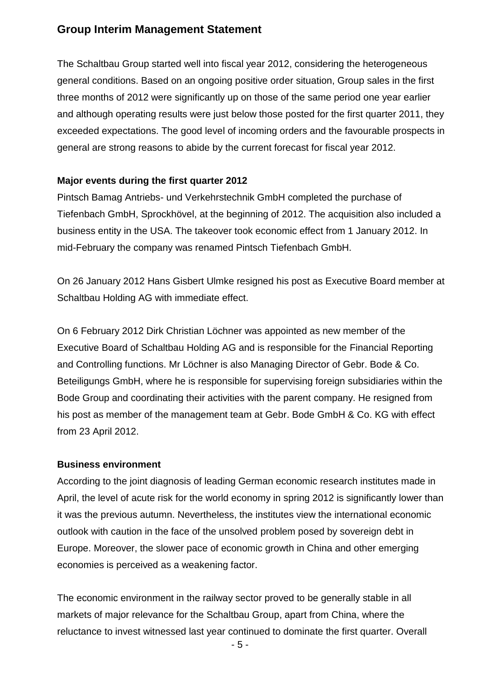## **Group Interim Management Statement**

The Schaltbau Group started well into fiscal year 2012, considering the heterogeneous general conditions. Based on an ongoing positive order situation, Group sales in the first three months of 2012 were significantly up on those of the same period one year earlier and although operating results were just below those posted for the first quarter 2011, they exceeded expectations. The good level of incoming orders and the favourable prospects in general are strong reasons to abide by the current forecast for fiscal year 2012.

#### **Major events during the first quarter 2012**

Pintsch Bamag Antriebs- und Verkehrstechnik GmbH completed the purchase of Tiefenbach GmbH, Sprockhövel, at the beginning of 2012. The acquisition also included a business entity in the USA. The takeover took economic effect from 1 January 2012. In mid-February the company was renamed Pintsch Tiefenbach GmbH.

On 26 January 2012 Hans Gisbert Ulmke resigned his post as Executive Board member at Schaltbau Holding AG with immediate effect.

On 6 February 2012 Dirk Christian Löchner was appointed as new member of the Executive Board of Schaltbau Holding AG and is responsible for the Financial Reporting and Controlling functions. Mr Löchner is also Managing Director of Gebr. Bode & Co. Beteiligungs GmbH, where he is responsible for supervising foreign subsidiaries within the Bode Group and coordinating their activities with the parent company. He resigned from his post as member of the management team at Gebr. Bode GmbH & Co. KG with effect from 23 April 2012.

#### **Business environment**

According to the joint diagnosis of leading German economic research institutes made in April, the level of acute risk for the world economy in spring 2012 is significantly lower than it was the previous autumn. Nevertheless, the institutes view the international economic outlook with caution in the face of the unsolved problem posed by sovereign debt in Europe. Moreover, the slower pace of economic growth in China and other emerging economies is perceived as a weakening factor.

The economic environment in the railway sector proved to be generally stable in all markets of major relevance for the Schaltbau Group, apart from China, where the reluctance to invest witnessed last year continued to dominate the first quarter. Overall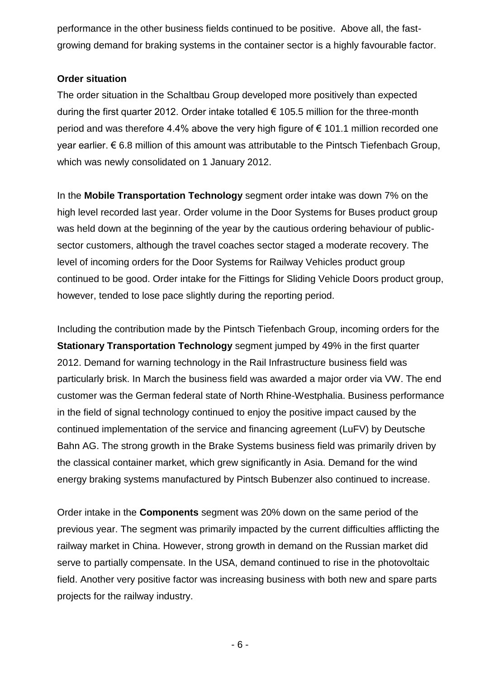performance in the other business fields continued to be positive. Above all, the fastgrowing demand for braking systems in the container sector is a highly favourable factor.

#### **Order situation**

The order situation in the Schaltbau Group developed more positively than expected during the first quarter 2012. Order intake totalled  $\epsilon$  105.5 million for the three-month period and was therefore 4.4% above the very high figure of € 101.1 million recorded one year earlier. € 6.8 million of this amount was attributable to the Pintsch Tiefenbach Group, which was newly consolidated on 1 January 2012.

In the **Mobile Transportation Technology** segment order intake was down 7% on the high level recorded last year. Order volume in the Door Systems for Buses product group was held down at the beginning of the year by the cautious ordering behaviour of publicsector customers, although the travel coaches sector staged a moderate recovery. The level of incoming orders for the Door Systems for Railway Vehicles product group continued to be good. Order intake for the Fittings for Sliding Vehicle Doors product group, however, tended to lose pace slightly during the reporting period.

Including the contribution made by the Pintsch Tiefenbach Group, incoming orders for the **Stationary Transportation Technology** segment jumped by 49% in the first quarter 2012. Demand for warning technology in the Rail Infrastructure business field was particularly brisk. In March the business field was awarded a major order via VW. The end customer was the German federal state of North Rhine-Westphalia. Business performance in the field of signal technology continued to enjoy the positive impact caused by the continued implementation of the service and financing agreement (LuFV) by Deutsche Bahn AG. The strong growth in the Brake Systems business field was primarily driven by the classical container market, which grew significantly in Asia. Demand for the wind energy braking systems manufactured by Pintsch Bubenzer also continued to increase.

Order intake in the **Components** segment was 20% down on the same period of the previous year. The segment was primarily impacted by the current difficulties afflicting the railway market in China. However, strong growth in demand on the Russian market did serve to partially compensate. In the USA, demand continued to rise in the photovoltaic field. Another very positive factor was increasing business with both new and spare parts projects for the railway industry.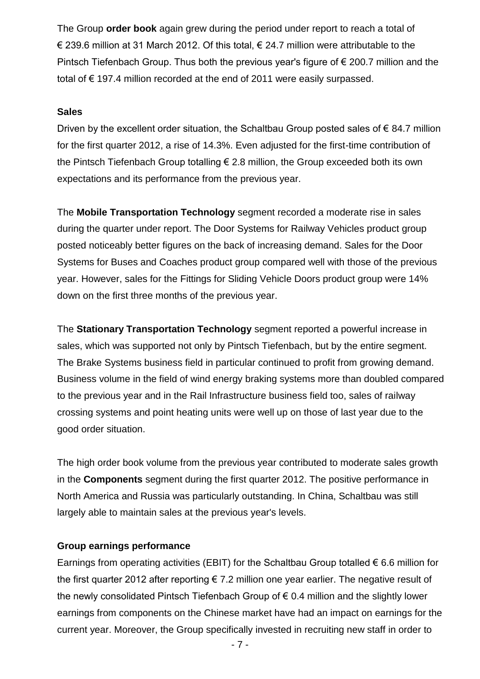The Group **order book** again grew during the period under report to reach a total of € 239.6 million at 31 March 2012. Of this total, € 24.7 million were attributable to the Pintsch Tiefenbach Group. Thus both the previous year's figure of € 200.7 million and the total of € 197.4 million recorded at the end of 2011 were easily surpassed.

#### **Sales**

Driven by the excellent order situation, the Schaltbau Group posted sales of  $\epsilon$  84.7 million for the first quarter 2012, a rise of 14.3%. Even adjusted for the first-time contribution of the Pintsch Tiefenbach Group totalling  $\epsilon$  2.8 million, the Group exceeded both its own expectations and its performance from the previous year.

The **Mobile Transportation Technology** segment recorded a moderate rise in sales during the quarter under report. The Door Systems for Railway Vehicles product group posted noticeably better figures on the back of increasing demand. Sales for the Door Systems for Buses and Coaches product group compared well with those of the previous year. However, sales for the Fittings for Sliding Vehicle Doors product group were 14% down on the first three months of the previous year.

The **Stationary Transportation Technology** segment reported a powerful increase in sales, which was supported not only by Pintsch Tiefenbach, but by the entire segment. The Brake Systems business field in particular continued to profit from growing demand. Business volume in the field of wind energy braking systems more than doubled compared to the previous year and in the Rail Infrastructure business field too, sales of railway crossing systems and point heating units were well up on those of last year due to the good order situation.

The high order book volume from the previous year contributed to moderate sales growth in the **Components** segment during the first quarter 2012. The positive performance in North America and Russia was particularly outstanding. In China, Schaltbau was still largely able to maintain sales at the previous year's levels.

#### **Group earnings performance**

Earnings from operating activities (EBIT) for the Schaltbau Group totalled  $\epsilon$  6.6 million for the first quarter 2012 after reporting  $\epsilon$  7.2 million one year earlier. The negative result of the newly consolidated Pintsch Tiefenbach Group of  $\epsilon$  0.4 million and the slightly lower earnings from components on the Chinese market have had an impact on earnings for the current year. Moreover, the Group specifically invested in recruiting new staff in order to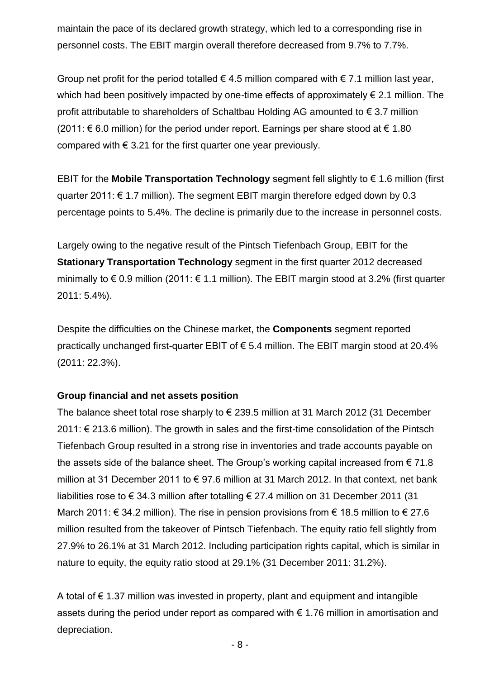maintain the pace of its declared growth strategy, which led to a corresponding rise in personnel costs. The EBIT margin overall therefore decreased from 9.7% to 7.7%.

Group net profit for the period totalled  $\epsilon$  4.5 million compared with  $\epsilon$  7.1 million last year, which had been positively impacted by one-time effects of approximately  $\epsilon$  2.1 million. The profit attributable to shareholders of Schaltbau Holding AG amounted to € 3.7 million (2011: € 6.0 million) for the period under report. Earnings per share stood at € 1.80 compared with  $\epsilon$  3.21 for the first quarter one year previously.

EBIT for the **Mobile Transportation Technology** segment fell slightly to  $\epsilon$  1.6 million (first quarter 2011: € 1.7 million). The segment EBIT margin therefore edged down by 0.3 percentage points to 5.4%. The decline is primarily due to the increase in personnel costs.

Largely owing to the negative result of the Pintsch Tiefenbach Group, EBIT for the **Stationary Transportation Technology** segment in the first quarter 2012 decreased minimally to  $\epsilon$  0.9 million (2011:  $\epsilon$  1.1 million). The EBIT margin stood at 3.2% (first quarter 2011: 5.4%).

Despite the difficulties on the Chinese market, the **Components** segment reported practically unchanged first-quarter EBIT of € 5.4 million. The EBIT margin stood at 20.4% (2011: 22.3%).

#### **Group financial and net assets position**

The balance sheet total rose sharply to  $\epsilon$  239.5 million at 31 March 2012 (31 December 2011: € 213.6 million). The growth in sales and the first-time consolidation of the Pintsch Tiefenbach Group resulted in a strong rise in inventories and trade accounts payable on the assets side of the balance sheet. The Group's working capital increased from  $\epsilon$  71.8 million at 31 December 2011 to € 97.6 million at 31 March 2012. In that context, net bank liabilities rose to € 34.3 million after totalling € 27.4 million on 31 December 2011 (31 March 2011:  $\epsilon$  34.2 million). The rise in pension provisions from  $\epsilon$  18.5 million to  $\epsilon$  27.6 million resulted from the takeover of Pintsch Tiefenbach. The equity ratio fell slightly from 27.9% to 26.1% at 31 March 2012. Including participation rights capital, which is similar in nature to equity, the equity ratio stood at 29.1% (31 December 2011: 31.2%).

A total of  $\epsilon$  1.37 million was invested in property, plant and equipment and intangible assets during the period under report as compared with  $\epsilon$  1.76 million in amortisation and depreciation.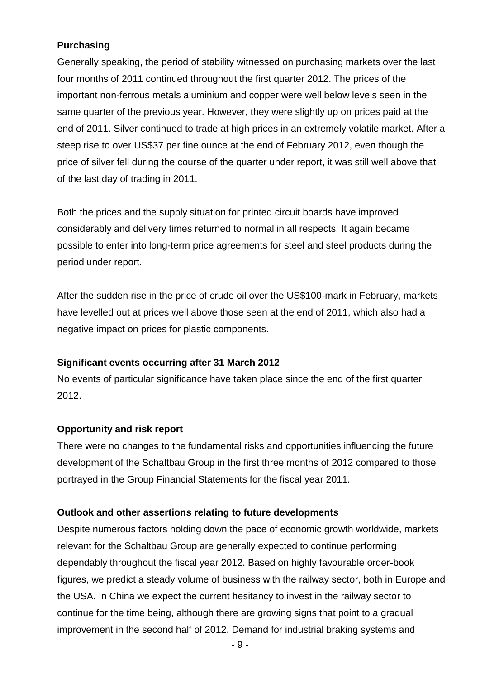### **Purchasing**

Generally speaking, the period of stability witnessed on purchasing markets over the last four months of 2011 continued throughout the first quarter 2012. The prices of the important non-ferrous metals aluminium and copper were well below levels seen in the same quarter of the previous year. However, they were slightly up on prices paid at the end of 2011. Silver continued to trade at high prices in an extremely volatile market. After a steep rise to over US\$37 per fine ounce at the end of February 2012, even though the price of silver fell during the course of the quarter under report, it was still well above that of the last day of trading in 2011.

Both the prices and the supply situation for printed circuit boards have improved considerably and delivery times returned to normal in all respects. It again became possible to enter into long-term price agreements for steel and steel products during the period under report.

After the sudden rise in the price of crude oil over the US\$100-mark in February, markets have levelled out at prices well above those seen at the end of 2011, which also had a negative impact on prices for plastic components.

#### **Significant events occurring after 31 March 2012**

No events of particular significance have taken place since the end of the first quarter 2012.

#### **Opportunity and risk report**

There were no changes to the fundamental risks and opportunities influencing the future development of the Schaltbau Group in the first three months of 2012 compared to those portrayed in the Group Financial Statements for the fiscal year 2011.

#### **Outlook and other assertions relating to future developments**

Despite numerous factors holding down the pace of economic growth worldwide, markets relevant for the Schaltbau Group are generally expected to continue performing dependably throughout the fiscal year 2012. Based on highly favourable order-book figures, we predict a steady volume of business with the railway sector, both in Europe and the USA. In China we expect the current hesitancy to invest in the railway sector to continue for the time being, although there are growing signs that point to a gradual improvement in the second half of 2012. Demand for industrial braking systems and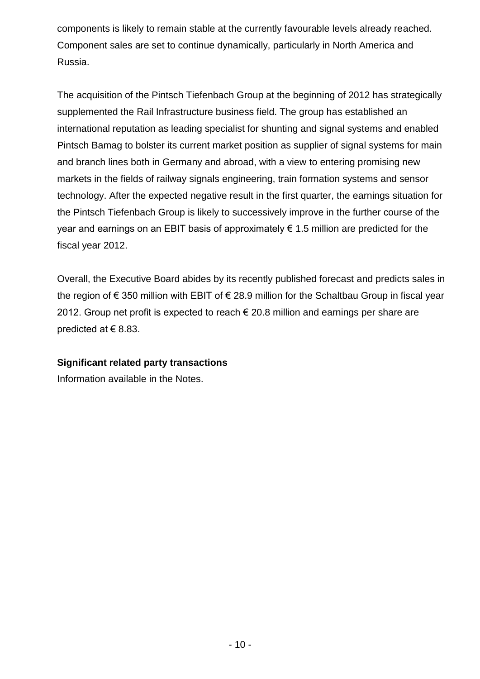components is likely to remain stable at the currently favourable levels already reached. Component sales are set to continue dynamically, particularly in North America and Russia.

The acquisition of the Pintsch Tiefenbach Group at the beginning of 2012 has strategically supplemented the Rail Infrastructure business field. The group has established an international reputation as leading specialist for shunting and signal systems and enabled Pintsch Bamag to bolster its current market position as supplier of signal systems for main and branch lines both in Germany and abroad, with a view to entering promising new markets in the fields of railway signals engineering, train formation systems and sensor technology. After the expected negative result in the first quarter, the earnings situation for the Pintsch Tiefenbach Group is likely to successively improve in the further course of the year and earnings on an EBIT basis of approximately  $\epsilon$  1.5 million are predicted for the fiscal year 2012.

Overall, the Executive Board abides by its recently published forecast and predicts sales in the region of € 350 million with EBIT of € 28.9 million for the Schaltbau Group in fiscal year 2012. Group net profit is expected to reach  $\epsilon$  20.8 million and earnings per share are predicted at  $\in$  8.83.

#### **Significant related party transactions**

Information available in the Notes.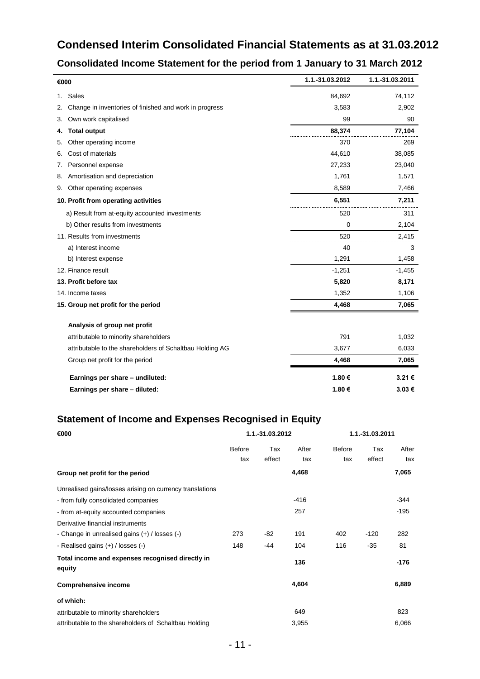## **Condensed Interim Consolidated Financial Statements as at 31.03.2012**

## **Consolidated Income Statement for the period from 1 January to 31 March 2012**

| €000                                                         | 1.1.-31.03.2012 | 1.1.-31.03.2011 |
|--------------------------------------------------------------|-----------------|-----------------|
| Sales<br>1.                                                  | 84,692          | 74,112          |
| Change in inventories of finished and work in progress<br>2. | 3,583           | 2,902           |
| Own work capitalised<br>3.                                   | 99              | 90              |
| <b>Total output</b><br>4.                                    | 88,374          | 77,104          |
| Other operating income<br>5.                                 | 370             | 269             |
| Cost of materials<br>6.                                      | 44,610          | 38,085          |
| Personnel expense<br>7.                                      | 27,233          | 23,040          |
| Amortisation and depreciation<br>8.                          | 1,761           | 1,571           |
| Other operating expenses<br>9.                               | 8,589           | 7,466           |
| 10. Profit from operating activities                         | 6,551           | 7,211           |
| a) Result from at-equity accounted investments               | 520             | 311             |
| b) Other results from investments                            | 0               | 2,104           |
| 11. Results from investments                                 | 520             | 2,415           |
| a) Interest income                                           | 40              | 3               |
| b) Interest expense                                          | 1,291           | 1,458           |
| 12. Finance result                                           | $-1,251$        | $-1,455$        |
| 13. Profit before tax                                        | 5,820           | 8,171           |
| 14. Income taxes                                             | 1,352           | 1,106           |
| 15. Group net profit for the period                          | 4,468           | 7,065           |
| Analysis of group net profit                                 |                 |                 |
| attributable to minority shareholders                        | 791             | 1,032           |
| attributable to the shareholders of Schaltbau Holding AG     | 3,677           | 6,033           |
| Group net profit for the period                              | 4,468           | 7,065           |
| Earnings per share - undiluted:                              | 1.80€           | 3.21€           |
| Earnings per share - diluted:                                | 1.80€           | 3.03€           |

## **Statement of Income and Expenses Recognised in Equity**

| €000                                                       |               | 1.1.-31.03.2012 | 1.1.-31.03.2011 |               |        |        |
|------------------------------------------------------------|---------------|-----------------|-----------------|---------------|--------|--------|
|                                                            | <b>Before</b> | Tax             | After           | <b>Before</b> | Tax    | After  |
|                                                            | tax           | effect          | tax             | tax           | effect | tax    |
| Group net profit for the period                            |               |                 | 4,468           |               |        | 7,065  |
| Unrealised gains/losses arising on currency translations   |               |                 |                 |               |        |        |
| - from fully consolidated companies                        |               |                 | $-416$          |               |        | $-344$ |
| - from at-equity accounted companies                       |               |                 | 257             |               |        | $-195$ |
| Derivative financial instruments                           |               |                 |                 |               |        |        |
| - Change in unrealised gains (+) / losses (-)              | 273           | -82             | 191             | 402           | $-120$ | 282    |
| - Realised gains $(+)$ / losses $(-)$                      | 148           | $-44$           | 104             | 116           | $-35$  | 81     |
| Total income and expenses recognised directly in<br>equity |               |                 | 136             |               |        | -176   |
| <b>Comprehensive income</b>                                |               |                 | 4,604           |               |        | 6,889  |
| of which:                                                  |               |                 |                 |               |        |        |
| attributable to minority shareholders                      |               |                 | 649             |               |        | 823    |
| attributable to the shareholders of Schaltbau Holding      |               |                 | 3,955           |               |        | 6,066  |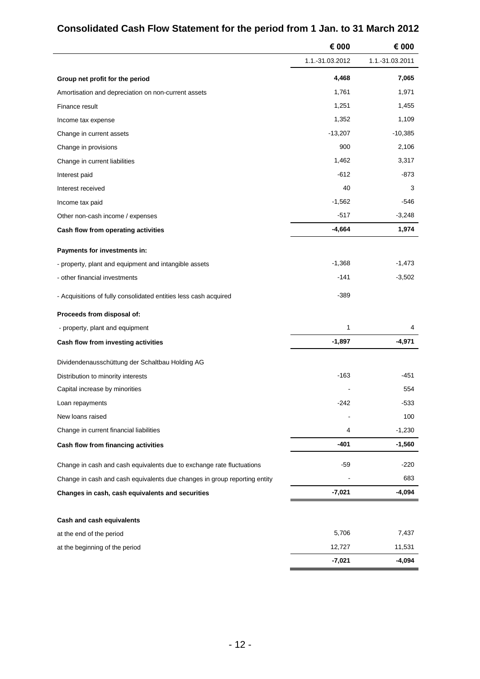|                                                                           | € 000           | € 000           |
|---------------------------------------------------------------------------|-----------------|-----------------|
|                                                                           | 1.1.-31.03.2012 | 1.1.-31.03.2011 |
| Group net profit for the period                                           | 4,468           | 7,065           |
| Amortisation and depreciation on non-current assets                       | 1,761           | 1,971           |
| Finance result                                                            | 1,251           | 1,455           |
| Income tax expense                                                        | 1,352           | 1,109           |
| Change in current assets                                                  | $-13,207$       | $-10,385$       |
| Change in provisions                                                      | 900             | 2,106           |
| Change in current liabilities                                             | 1,462           | 3,317           |
| Interest paid                                                             | $-612$          | -873            |
| Interest received                                                         | 40              | 3               |
| Income tax paid                                                           | $-1,562$        | -546            |
| Other non-cash income / expenses                                          | $-517$          | $-3,248$        |
| Cash flow from operating activities                                       | $-4,664$        | 1,974           |
| Payments for investments in:                                              |                 |                 |
| - property, plant and equipment and intangible assets                     | $-1,368$        | $-1,473$        |
| - other financial investments                                             | $-141$          | $-3,502$        |
| - Acquisitions of fully consolidated entities less cash acquired          | $-389$          |                 |
| Proceeds from disposal of:                                                |                 |                 |
| - property, plant and equipment                                           | 1               | 4               |
| Cash flow from investing activities                                       | $-1,897$        | $-4,971$        |
| Dividendenausschüttung der Schaltbau Holding AG                           |                 |                 |
| Distribution to minority interests                                        | $-163$          | -451            |
| Capital increase by minorities                                            |                 | 554             |
| Loan repayments                                                           | $-242$          | $-533$          |
| New loans raised                                                          |                 | 100             |
| Change in current financial liabilities                                   | 4               | $-1,230$        |
| Cash flow from financing activities                                       | $-401$          | $-1,560$        |
| Change in cash and cash equivalents due to exchange rate fluctuations     | -59             | $-220$          |
| Change in cash and cash equivalents due changes in group reporting entity |                 | 683             |
| Changes in cash, cash equivalents and securities                          | $-7,021$        | $-4,094$        |
| Cash and cash equivalents                                                 |                 |                 |
| at the end of the period                                                  | 5,706           | 7,437           |
| at the beginning of the period                                            | 12,727          | 11,531          |
|                                                                           | $-7,021$        | $-4,094$        |
|                                                                           |                 |                 |

## **Consolidated Cash Flow Statement for the period from 1 Jan. to 31 March 2012**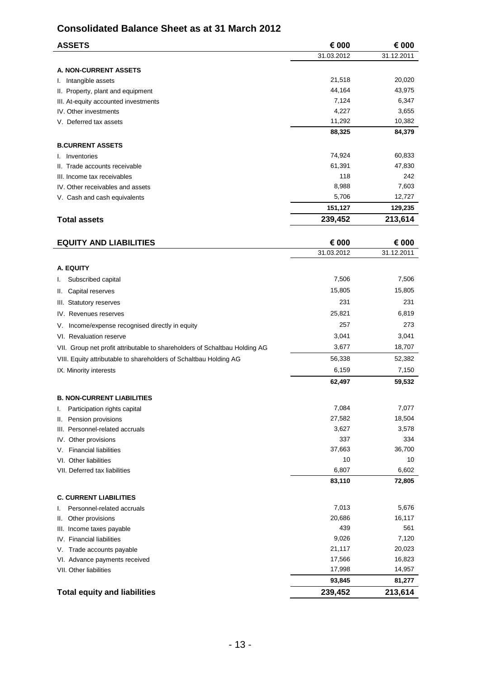## **Consolidated Balance Sheet as at 31 March 2012**

| Consolidated Balance Sheet as at 31 March 2012                             |            |            |
|----------------------------------------------------------------------------|------------|------------|
| <b>ASSETS</b>                                                              | € 000      | € 000      |
|                                                                            | 31.03.2012 | 31.12.2011 |
| <b>A. NON-CURRENT ASSETS</b>                                               |            |            |
| I. Intangible assets                                                       | 21,518     | 20,020     |
| II. Property, plant and equipment                                          | 44,164     | 43,975     |
| III. At-equity accounted investments                                       | 7,124      | 6,347      |
| IV. Other investments                                                      | 4,227      | 3,655      |
| V. Deferred tax assets                                                     | 11,292     | 10,382     |
|                                                                            | 88,325     | 84,379     |
| <b>B.CURRENT ASSETS</b>                                                    |            |            |
| I. Inventories                                                             | 74,924     | 60,833     |
| II. Trade accounts receivable                                              | 61,391     | 47,830     |
| III. Income tax receivables                                                | 118        | 242        |
| IV. Other receivables and assets                                           | 8,988      | 7,603      |
| V. Cash and cash equivalents                                               | 5,706      | 12,727     |
|                                                                            | 151,127    | 129,235    |
| <b>Total assets</b>                                                        | 239,452    | 213,614    |
|                                                                            |            |            |
| <b>EQUITY AND LIABILITIES</b>                                              | € 000      | € 000      |
|                                                                            | 31.03.2012 | 31.12.2011 |
| A. EQUITY                                                                  |            |            |
| Subscribed capital<br>ı.                                                   | 7,506      | 7,506      |
| Capital reserves<br>Ш.                                                     | 15,805     | 15,805     |
| III. Statutory reserves                                                    | 231        | 231        |
| IV. Revenues reserves                                                      | 25,821     | 6,819      |
|                                                                            | 257        | 273        |
| V. Income/expense recognised directly in equity                            | 3,041      | 3,041      |
| VI. Revaluation reserve                                                    | 3,677      | 18,707     |
| VII. Group net profit attributable to shareholders of Schaltbau Holding AG |            |            |
| VIII. Equity attributable to shareholders of Schaltbau Holding AG          | 56,338     | 52,382     |
| IX. Minority interests                                                     | 6,159      | 7,150      |
|                                                                            | 62,497     | 59,532     |
| <b>B. NON-CURRENT LIABILITIES</b>                                          |            |            |
| Participation rights capital<br>I.                                         | 7,084      | 7,077      |
| Pension provisions<br>Ш.                                                   | 27,582     | 18,504     |
| III. Personnel-related accruals                                            | 3,627      | 3,578      |
| IV. Other provisions                                                       | 337        | 334        |
| V. Financial liabilities                                                   | 37,663     | 36,700     |
| VI. Other liabilities                                                      | 10         | 10         |
| VII. Deferred tax liabilities                                              | 6,807      | 6,602      |
|                                                                            | 83,110     | 72,805     |
| <b>C. CURRENT LIABILITIES</b>                                              |            |            |
| Personnel-related accruals<br>ı.                                           | 7,013      | 5,676      |
| Other provisions<br>Ш.                                                     | 20,686     | 16,117     |
| III. Income taxes payable                                                  | 439        | 561        |
| IV. Financial liabilities                                                  | 9,026      | 7,120      |
| V Trade accounts navable                                                   | 21.117     | 20.023     |

V. Trade accounts payable 20,023 and 21,117 20,023 VI. Advance payments received example of the state of the 17,566 16,823 VII. Other liabilities 14,957 **93,845 81,277 Total equity and liabilities 239,452 213,614**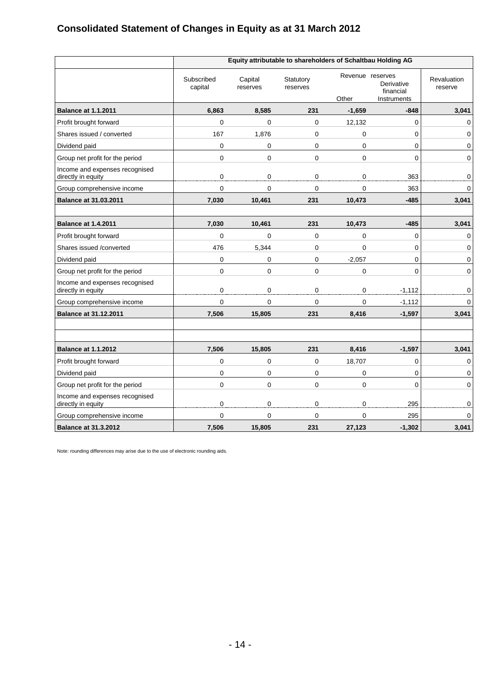# **Consolidated Statement of Changes in Equity as at 31 March 2012**

|                                                      |                       |                     | Equity attributable to shareholders of Schaltbau Holding AG |             |                                                            |                        |
|------------------------------------------------------|-----------------------|---------------------|-------------------------------------------------------------|-------------|------------------------------------------------------------|------------------------|
|                                                      | Subscribed<br>capital | Capital<br>reserves | Statutory<br>reserves                                       | Other       | Revenue reserves<br>Derivative<br>financial<br>Instruments | Revaluation<br>reserve |
| <b>Balance at 1.1.2011</b>                           | 6,863                 | 8,585               | 231                                                         | $-1,659$    | $-848$                                                     | 3,041                  |
| Profit brought forward                               | 0                     | $\mathbf 0$         | $\mathbf 0$                                                 | 12,132      | 0                                                          | $\mathbf 0$            |
| Shares issued / converted                            | 167                   | 1,876               | 0                                                           | 0           | 0                                                          | 0                      |
| Dividend paid                                        | 0                     | 0                   | 0                                                           | $\mathbf 0$ | 0                                                          | 0                      |
| Group net profit for the period                      | $\Omega$              | $\mathbf 0$         | $\Omega$                                                    | $\Omega$    | $\Omega$                                                   | $\mathbf 0$            |
| Income and expenses recognised<br>directly in equity | 0                     | 0                   | 0                                                           | 0           | 363                                                        | $\pmb{0}$              |
| Group comprehensive income                           | 0                     | $\overline{0}$      | $\Omega$                                                    | $\Omega$    | 363                                                        | 0                      |
| <b>Balance at 31.03.2011</b>                         | 7,030                 | 10,461              | 231                                                         | 10,473      | $-485$                                                     | 3,041                  |
|                                                      |                       |                     |                                                             |             |                                                            |                        |
| <b>Balance at 1.4.2011</b>                           | 7,030                 | 10,461              | 231                                                         | 10,473      | $-485$                                                     | 3,041                  |
| Profit brought forward                               | 0                     | $\pmb{0}$           | $\pmb{0}$                                                   | $\mathbf 0$ | 0                                                          | 0                      |
| Shares issued /converted                             | 476                   | 5,344               | $\mathbf 0$                                                 | $\mathbf 0$ | 0                                                          | 0                      |
| Dividend paid                                        | 0                     | 0                   | $\mathbf 0$                                                 | $-2,057$    | 0                                                          | $\mathbf 0$            |
| Group net profit for the period                      | 0                     | $\mathbf 0$         | $\Omega$                                                    | $\mathbf 0$ | $\Omega$                                                   | $\mathbf 0$            |
| Income and expenses recognised<br>directly in equity | 0                     | $\pmb{0}$           | $\mathbf 0$                                                 | $\pmb{0}$   | $-1,112$                                                   | $\mathsf{O}\xspace$    |
| Group comprehensive income                           | 0                     | $\mathbf 0$         | $\mathbf 0$                                                 | $\mathbf 0$ | $-1,112$                                                   | $\mathsf{O}$           |
| <b>Balance at 31.12.2011</b>                         | 7,506                 | 15,805              | 231                                                         | 8,416       | $-1,597$                                                   | 3,041                  |
|                                                      |                       |                     |                                                             |             |                                                            |                        |
| <b>Balance at 1.1.2012</b>                           | 7,506                 | 15,805              | 231                                                         | 8,416       | $-1,597$                                                   | 3,041                  |
| Profit brought forward                               | 0                     | $\mathbf 0$         | $\mathbf 0$                                                 | 18,707      | 0                                                          | $\mathbf 0$            |
| Dividend paid                                        | 0                     | $\mathbf 0$         | $\mathbf 0$                                                 | 0           | 0                                                          | $\mathbf 0$            |
| Group net profit for the period                      | $\mathbf 0$           | 0                   | $\mathbf 0$                                                 | $\mathbf 0$ | 0                                                          | 0                      |
| Income and expenses recognised<br>directly in equity | 0                     | $\mathbf 0$         | 0                                                           | $\mathbf 0$ | 295                                                        | $\pmb{0}$              |
| Group comprehensive income                           | $\Omega$              | 0                   | $\Omega$                                                    | $\Omega$    | 295                                                        | 0                      |
| <b>Balance at 31.3.2012</b>                          | 7,506                 | 15,805              | 231                                                         | 27,123      | $-1,302$                                                   | 3,041                  |

Note: rounding differences may arise due to the use of electronic rounding aids.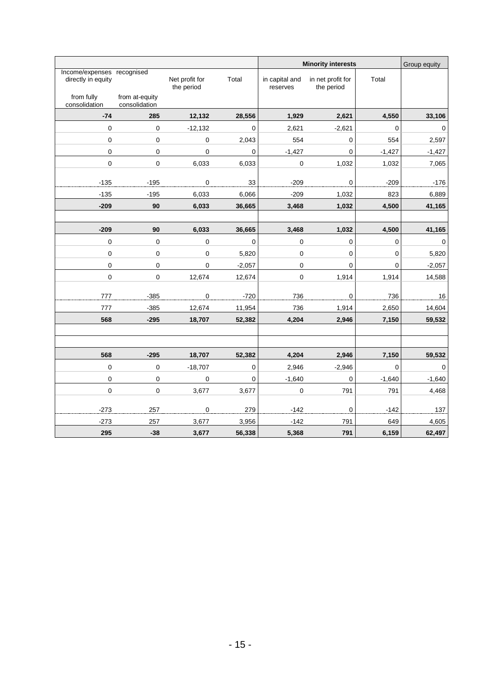|                                                  |                                 |                              |             |                            |                                 | <b>Minority interests</b> |             |  |
|--------------------------------------------------|---------------------------------|------------------------------|-------------|----------------------------|---------------------------------|---------------------------|-------------|--|
| Income/expenses recognised<br>directly in equity |                                 | Net profit for<br>the period | Total       | in capital and<br>reserves | in net profit for<br>the period | Total                     |             |  |
| from fully<br>consolidation                      | from at-equity<br>consolidation |                              |             |                            |                                 |                           |             |  |
| $-74$                                            | 285                             | 12,132                       | 28,556      | 1,929                      | 2,621                           | 4,550                     | 33,106      |  |
| $\mathbf 0$                                      | 0                               | $-12,132$                    | $\Omega$    | 2,621                      | $-2,621$                        | 0                         | $\pmb{0}$   |  |
| $\mathbf 0$                                      | 0                               | $\pmb{0}$                    | 2,043       | 554                        | 0                               | 554                       | 2,597       |  |
| 0                                                | 0                               | $\mathsf 0$                  | $\pmb{0}$   | $-1,427$                   | 0                               | $-1,427$                  | $-1,427$    |  |
| 0                                                | $\Omega$                        | 6,033                        | 6,033       | 0                          | 1,032                           | 1,032                     | 7,065       |  |
| $-135$                                           | $-195$                          | $\pmb{0}$                    | 33          | $-209$                     | $\pmb{0}$                       | $-209$                    | $-176$      |  |
| $-135$                                           | $-195$                          | 6,033                        | 6,066       | $-209$                     | 1,032                           | 823                       | 6,889       |  |
| $-209$                                           | 90                              | 6,033                        | 36,665      | 3,468                      | 1,032                           | 4,500                     | 41,165      |  |
|                                                  |                                 |                              |             |                            |                                 |                           |             |  |
| $-209$                                           | 90                              | 6,033                        | 36,665      | 3,468                      | 1,032                           | 4,500                     | 41,165      |  |
| $\pmb{0}$                                        | $\pmb{0}$                       | $\pmb{0}$                    | $\pmb{0}$   | $\pmb{0}$                  | $\pmb{0}$                       | $\pmb{0}$                 | $\mathbf 0$ |  |
| 0                                                | 0                               | 0                            | 5,820       | 0                          | $\mathbf 0$                     | $\pmb{0}$                 | 5,820       |  |
| 0                                                | 0                               | 0                            | $-2,057$    | 0                          | 0                               | 0                         | $-2,057$    |  |
| $\pmb{0}$                                        | $\pmb{0}$                       | 12,674                       | 12,674      | $\pmb{0}$                  | 1,914                           | 1,914                     | 14,588      |  |
| 777                                              | $-385$                          | $\pmb{0}$                    | $-720$      | 736                        | $\pmb{0}$                       | 736                       | 16          |  |
| 777                                              | $-385$                          | 12,674                       | 11,954      | 736                        | 1,914                           | 2,650                     | 14,604      |  |
| 568                                              | $-295$                          | 18,707                       | 52,382      | 4,204                      | 2,946                           | 7,150                     | 59,532      |  |
|                                                  |                                 |                              |             |                            |                                 |                           |             |  |
|                                                  |                                 |                              |             |                            |                                 |                           |             |  |
| 568                                              | $-295$                          | 18,707                       | 52,382      | 4,204                      | 2,946                           | 7,150                     | 59,532      |  |
| 0                                                | 0                               | $-18,707$                    | $\mathbf 0$ | 2,946                      | $-2,946$                        | 0                         | $\mathbf 0$ |  |
| 0                                                | $\pmb{0}$                       | $\pmb{0}$                    | $\pmb{0}$   | $-1,640$                   | $\mathbf 0$                     | $-1,640$                  | $-1,640$    |  |
| $\pmb{0}$                                        | $\pmb{0}$                       | 3,677                        | 3,677       | $\pmb{0}$                  | 791                             | 791                       | 4,468       |  |
|                                                  |                                 |                              |             |                            |                                 |                           |             |  |
| $-273$                                           | 257                             | $\pmb{0}$                    | 279         | $-142$                     | $\pmb{0}$                       | $-142$                    | 137         |  |
| $-273$                                           | 257                             | 3,677                        | 3,956       | $-142$                     | 791                             | 649                       | 4,605       |  |
| 295                                              | $-38$                           | 3,677                        | 56,338      | 5,368                      | 791                             | 6,159                     | 62,497      |  |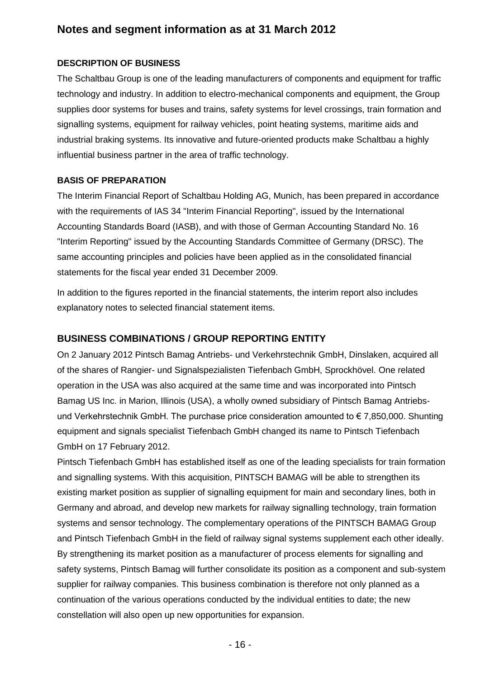## **Notes and segment information as at 31 March 2012**

#### **DESCRIPTION OF BUSINESS**

The Schaltbau Group is one of the leading manufacturers of components and equipment for traffic technology and industry. In addition to electro-mechanical components and equipment, the Group supplies door systems for buses and trains, safety systems for level crossings, train formation and signalling systems, equipment for railway vehicles, point heating systems, maritime aids and industrial braking systems. Its innovative and future-oriented products make Schaltbau a highly influential business partner in the area of traffic technology.

#### **BASIS OF PREPARATION**

The Interim Financial Report of Schaltbau Holding AG, Munich, has been prepared in accordance with the requirements of IAS 34 "Interim Financial Reporting", issued by the International Accounting Standards Board (IASB), and with those of German Accounting Standard No. 16 "Interim Reporting" issued by the Accounting Standards Committee of Germany (DRSC). The same accounting principles and policies have been applied as in the consolidated financial statements for the fiscal year ended 31 December 2009.

In addition to the figures reported in the financial statements, the interim report also includes explanatory notes to selected financial statement items.

#### **BUSINESS COMBINATIONS / GROUP REPORTING ENTITY**

On 2 January 2012 Pintsch Bamag Antriebs- und Verkehrstechnik GmbH, Dinslaken, acquired all of the shares of Rangier- und Signalspezialisten Tiefenbach GmbH, Sprockhövel. One related operation in the USA was also acquired at the same time and was incorporated into Pintsch Bamag US Inc. in Marion, Illinois (USA), a wholly owned subsidiary of Pintsch Bamag Antriebsund Verkehrstechnik GmbH. The purchase price consideration amounted to € 7,850,000. Shunting equipment and signals specialist Tiefenbach GmbH changed its name to Pintsch Tiefenbach GmbH on 17 February 2012.

Pintsch Tiefenbach GmbH has established itself as one of the leading specialists for train formation and signalling systems. With this acquisition, PINTSCH BAMAG will be able to strengthen its existing market position as supplier of signalling equipment for main and secondary lines, both in Germany and abroad, and develop new markets for railway signalling technology, train formation systems and sensor technology. The complementary operations of the PINTSCH BAMAG Group and Pintsch Tiefenbach GmbH in the field of railway signal systems supplement each other ideally. By strengthening its market position as a manufacturer of process elements for signalling and safety systems, Pintsch Bamag will further consolidate its position as a component and sub-system supplier for railway companies. This business combination is therefore not only planned as a continuation of the various operations conducted by the individual entities to date; the new constellation will also open up new opportunities for expansion.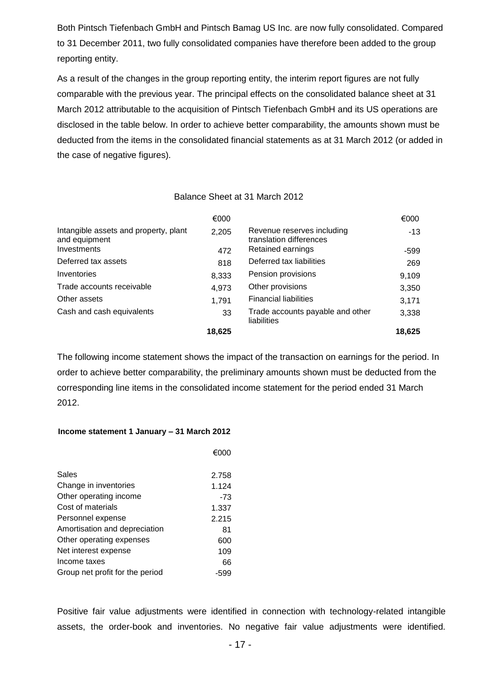Both Pintsch Tiefenbach GmbH and Pintsch Bamag US Inc. are now fully consolidated. Compared to 31 December 2011, two fully consolidated companies have therefore been added to the group reporting entity.

As a result of the changes in the group reporting entity, the interim report figures are not fully comparable with the previous year. The principal effects on the consolidated balance sheet at 31 March 2012 attributable to the acquisition of Pintsch Tiefenbach GmbH and its US operations are disclosed in the table below. In order to achieve better comparability, the amounts shown must be deducted from the items in the consolidated financial statements as at 31 March 2012 (or added in the case of negative figures).

#### Balance Sheet at 31 March 2012

|                                                        | €000   |                                                       | €000   |
|--------------------------------------------------------|--------|-------------------------------------------------------|--------|
| Intangible assets and property, plant<br>and equipment | 2,205  | Revenue reserves including<br>translation differences | $-13$  |
| Investments                                            | 472    | Retained earnings                                     | -599   |
| Deferred tax assets                                    | 818    | Deferred tax liabilities                              | 269    |
| Inventories                                            | 8,333  | Pension provisions                                    | 9,109  |
| Trade accounts receivable                              | 4,973  | Other provisions                                      | 3,350  |
| Other assets                                           | 1,791  | <b>Financial liabilities</b>                          | 3,171  |
| Cash and cash equivalents                              | 33     | Trade accounts payable and other<br>liabilities       | 3,338  |
|                                                        | 18,625 |                                                       | 18,625 |

The following income statement shows the impact of the transaction on earnings for the period. In order to achieve better comparability, the preliminary amounts shown must be deducted from the corresponding line items in the consolidated income statement for the period ended 31 March 2012.

#### **Income statement 1 January – 31 March 2012**

|                                 | €000  |
|---------------------------------|-------|
| Sales                           | 2.758 |
| Change in inventories           | 1.124 |
| Other operating income          | $-73$ |
| Cost of materials               | 1.337 |
| Personnel expense               | 2.215 |
| Amortisation and depreciation   | 81    |
| Other operating expenses        | 600   |
| Net interest expense            | 109   |
| Income taxes                    | 66    |
| Group net profit for the period | -599  |

Positive fair value adjustments were identified in connection with technology-related intangible assets, the order-book and inventories. No negative fair value adjustments were identified.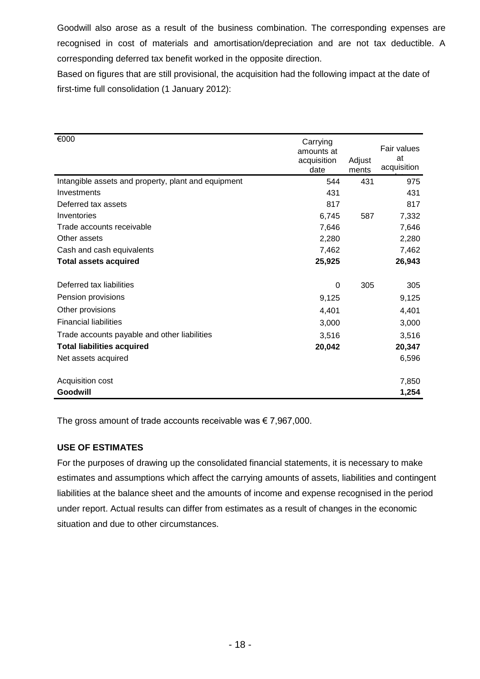Goodwill also arose as a result of the business combination. The corresponding expenses are recognised in cost of materials and amortisation/depreciation and are not tax deductible. A corresponding deferred tax benefit worked in the opposite direction.

Based on figures that are still provisional, the acquisition had the following impact at the date of first-time full consolidation (1 January 2012):

| €000                                                | Carrying<br>amounts at<br>acquisition<br>date | Adjust<br>ments | Fair values<br>at<br>acquisition |
|-----------------------------------------------------|-----------------------------------------------|-----------------|----------------------------------|
| Intangible assets and property, plant and equipment | 544                                           | 431             | 975                              |
| Investments                                         | 431                                           |                 | 431                              |
| Deferred tax assets                                 | 817                                           |                 | 817                              |
| Inventories                                         | 6,745                                         | 587             | 7,332                            |
| Trade accounts receivable                           | 7,646                                         |                 | 7,646                            |
| Other assets                                        | 2,280                                         |                 | 2,280                            |
| Cash and cash equivalents                           | 7,462                                         |                 | 7,462                            |
| <b>Total assets acquired</b>                        | 25,925                                        |                 | 26,943                           |
| Deferred tax liabilities                            | $\Omega$                                      | 305             | 305                              |
| Pension provisions                                  | 9,125                                         |                 | 9,125                            |
| Other provisions                                    | 4,401                                         |                 | 4,401                            |
| <b>Financial liabilities</b>                        | 3,000                                         |                 | 3,000                            |
| Trade accounts payable and other liabilities        | 3,516                                         |                 | 3,516                            |
| <b>Total liabilities acquired</b>                   | 20,042                                        |                 | 20,347                           |
| Net assets acquired                                 |                                               |                 | 6,596                            |
| Acquisition cost                                    |                                               |                 | 7,850                            |
| Goodwill                                            |                                               |                 | 1,254                            |

The gross amount of trade accounts receivable was  $\epsilon$  7,967,000.

#### **USE OF ESTIMATES**

For the purposes of drawing up the consolidated financial statements, it is necessary to make estimates and assumptions which affect the carrying amounts of assets, liabilities and contingent liabilities at the balance sheet and the amounts of income and expense recognised in the period under report. Actual results can differ from estimates as a result of changes in the economic situation and due to other circumstances.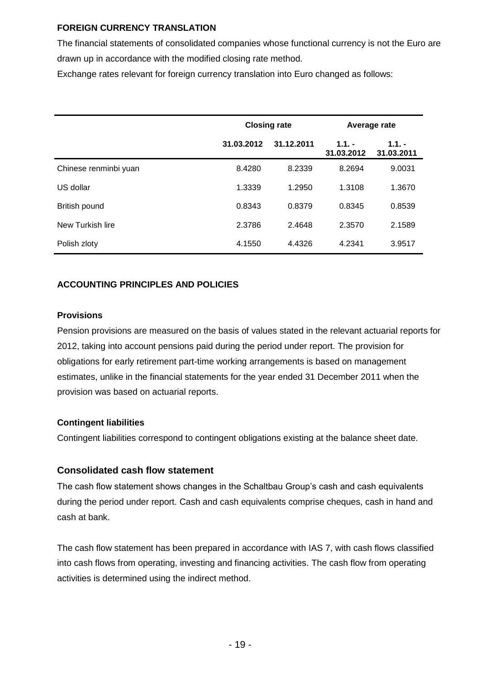#### **FOREIGN CURRENCY TRANSLATION**

The financial statements of consolidated companies whose functional currency is not the Euro are drawn up in accordance with the modified closing rate method.

Exchange rates relevant for foreign currency translation into Euro changed as follows:

|                       |            | <b>Closing rate</b> | Average rate          |                        |  |
|-----------------------|------------|---------------------|-----------------------|------------------------|--|
|                       | 31.03.2012 | 31.12.2011          | $1.1 -$<br>31.03.2012 | $1.1. -$<br>31.03.2011 |  |
| Chinese renminbi yuan | 8.4280     | 8.2339              | 8.2694                | 9.0031                 |  |
| US dollar             | 1.3339     | 1.2950              | 1.3108                | 1.3670                 |  |
| British pound         | 0.8343     | 0.8379              | 0.8345                | 0.8539                 |  |
| New Turkish lire      | 2.3786     | 2.4648              | 2.3570                | 2.1589                 |  |
| Polish zloty          | 4.1550     | 4.4326              | 4.2341                | 3.9517                 |  |

#### **ACCOUNTING PRINCIPLES AND POLICIES**

#### **Provisions**

Pension provisions are measured on the basis of values stated in the relevant actuarial reports for 2012, taking into account pensions paid during the period under report. The provision for obligations for early retirement part-time working arrangements is based on management estimates, unlike in the financial statements for the year ended 31 December 2011 when the provision was based on actuarial reports.

#### **Contingent liabilities**

Contingent liabilities correspond to contingent obligations existing at the balance sheet date.

#### **Consolidated cash flow statement**

The cash flow statement shows changes in the Schaltbau Group's cash and cash equivalents during the period under report. Cash and cash equivalents comprise cheques, cash in hand and cash at bank.

The cash flow statement has been prepared in accordance with IAS 7, with cash flows classified into cash flows from operating, investing and financing activities. The cash flow from operating activities is determined using the indirect method.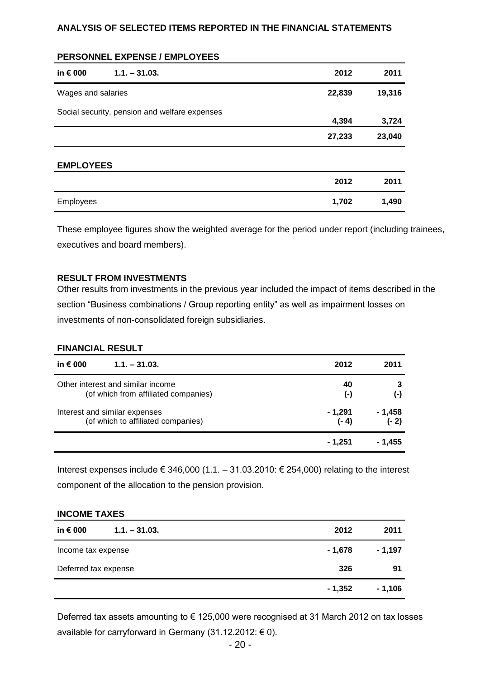#### **ANALYSIS OF SELECTED ITEMS REPORTED IN THE FINANCIAL STATEMENTS**

|  |  | <b>PERSONNEL EXPENSE / EMPLOYEES</b> |
|--|--|--------------------------------------|
|--|--|--------------------------------------|

| in € 000           | $1.1 - 31.03.$                                | 2012   | 2011   |
|--------------------|-----------------------------------------------|--------|--------|
| Wages and salaries |                                               | 22,839 | 19,316 |
|                    | Social security, pension and welfare expenses | 4,394  | 3,724  |
|                    |                                               | 27,233 | 23,040 |
| <b>EMPLOYEES</b>   |                                               |        |        |
|                    |                                               | 2012   | 2011   |
| <b>Employees</b>   |                                               | 1,702  | 1,490  |

These employee figures show the weighted average for the period under report (including trainees, executives and board members).

#### **RESULT FROM INVESTMENTS**

Other results from investments in the previous year included the impact of items described in the section "Business combinations / Group reporting entity" as well as impairment losses on investments of non-consolidated foreign subsidiaries.

#### **FINANCIAL RESULT**

| in $\epsilon$ 000<br>$1.1. - 31.03.$ | 2012      | 2011     |
|--------------------------------------|-----------|----------|
| Other interest and similar income    | 40        | 3        |
| (of which from affiliated companies) | $(\cdot)$ | $(-)$    |
| Interest and similar expenses        | - 1,291   | $-1,458$ |
| (of which to affiliated companies)   | $(-4)$    | $(-2)$   |
|                                      | - 1.251   | - 1.455  |

Interest expenses include € 346,000 (1.1. – 31.03.2010: € 254,000) relating to the interest component of the allocation to the pension provision.

#### **INCOME TAXES**

| in $\epsilon$ 000<br>$1.1 - 31.03$ . | 2012     | 2011     |
|--------------------------------------|----------|----------|
| Income tax expense                   | - 1,678  | - 1,197  |
| Deferred tax expense                 | 326      | 91       |
|                                      | $-1,352$ | $-1,106$ |

Deferred tax assets amounting to € 125,000 were recognised at 31 March 2012 on tax losses available for carryforward in Germany (31.12.2012:  $\epsilon$  0).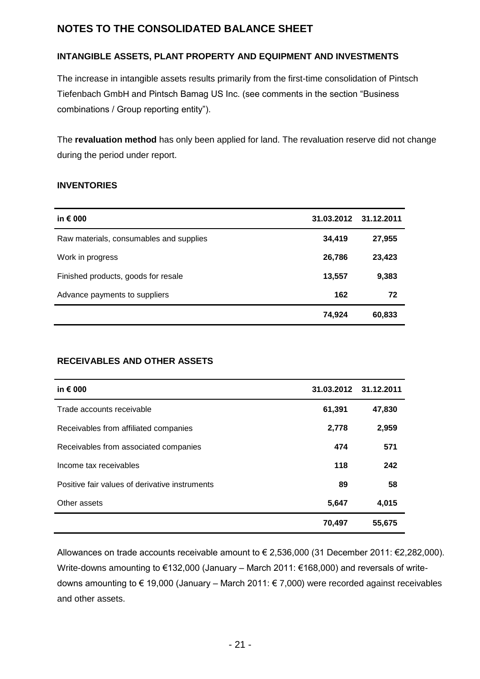## **NOTES TO THE CONSOLIDATED BALANCE SHEET**

#### **INTANGIBLE ASSETS, PLANT PROPERTY AND EQUIPMENT AND INVESTMENTS**

The increase in intangible assets results primarily from the first-time consolidation of Pintsch Tiefenbach GmbH and Pintsch Bamag US Inc. (see comments in the section "Business combinations / Group reporting entity").

The **revaluation method** has only been applied for land. The revaluation reserve did not change during the period under report.

#### **INVENTORIES**

| in $\epsilon$ 000                       |        | 31.03.2012 31.12.2011 |
|-----------------------------------------|--------|-----------------------|
| Raw materials, consumables and supplies | 34,419 | 27,955                |
| Work in progress                        | 26,786 | 23,423                |
| Finished products, goods for resale     | 13,557 | 9,383                 |
| Advance payments to suppliers           | 162    | 72                    |
|                                         | 74,924 | 60,833                |

#### **RECEIVABLES AND OTHER ASSETS**

| in $\epsilon$ 000                              | 31.03.2012 31.12.2011 |        |
|------------------------------------------------|-----------------------|--------|
| Trade accounts receivable                      | 61,391                | 47,830 |
| Receivables from affiliated companies          | 2,778                 | 2,959  |
| Receivables from associated companies          | 474                   | 571    |
| Income tax receivables                         | 118                   | 242    |
| Positive fair values of derivative instruments | 89                    | 58     |
| Other assets                                   | 5,647                 | 4,015  |
|                                                | 70,497                | 55,675 |

Allowances on trade accounts receivable amount to € 2,536,000 (31 December 2011: €2,282,000). Write-downs amounting to €132,000 (January – March 2011: €168,000) and reversals of writedowns amounting to € 19,000 (January – March 2011: € 7,000) were recorded against receivables and other assets.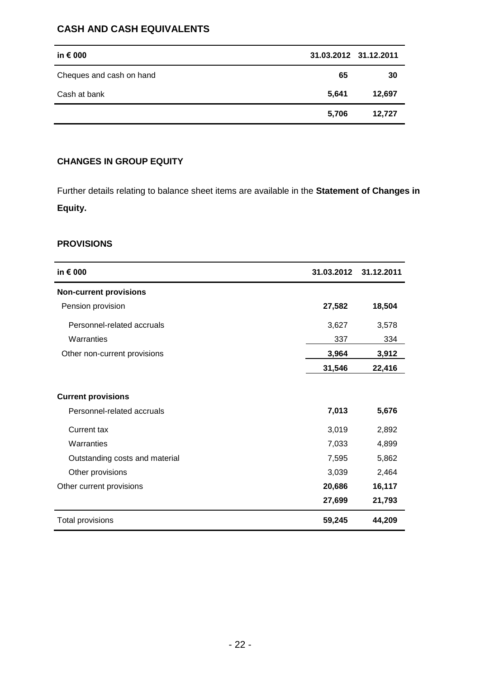#### **CASH AND CASH EQUIVALENTS**

| in $\epsilon$ 000        |       | 31.03.2012 31.12.2011 |
|--------------------------|-------|-----------------------|
| Cheques and cash on hand | 65    | 30                    |
| Cash at bank             | 5,641 | 12,697                |
|                          | 5,706 | 12,727                |

#### **CHANGES IN GROUP EQUITY**

Further details relating to balance sheet items are available in the **Statement of Changes in Equity.**

#### **PROVISIONS**

| in € 000                       | 31.03.2012 | 31.12.2011 |
|--------------------------------|------------|------------|
| <b>Non-current provisions</b>  |            |            |
| Pension provision              | 27,582     | 18,504     |
| Personnel-related accruals     | 3,627      | 3,578      |
| Warranties                     | 337        | 334        |
| Other non-current provisions   | 3,964      | 3,912      |
|                                | 31,546     | 22,416     |
|                                |            |            |
| <b>Current provisions</b>      |            |            |
| Personnel-related accruals     | 7,013      | 5,676      |
| <b>Current tax</b>             | 3,019      | 2,892      |
| Warranties                     | 7,033      | 4,899      |
| Outstanding costs and material | 7,595      | 5,862      |
| Other provisions               | 3,039      | 2,464      |
| Other current provisions       | 20,686     | 16,117     |
|                                | 27,699     | 21,793     |
| <b>Total provisions</b>        | 59,245     | 44,209     |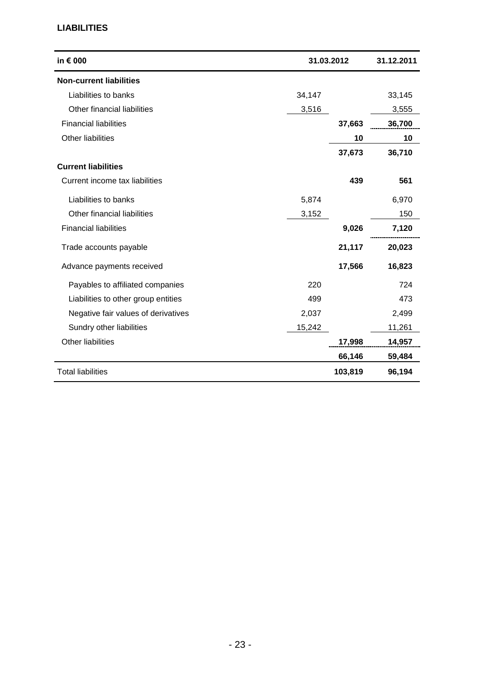#### **LIABILITIES**

| in € 000                            |        | 31.03.2012 | 31.12.2011 |
|-------------------------------------|--------|------------|------------|
| <b>Non-current liabilities</b>      |        |            |            |
| Liabilities to banks                | 34,147 |            | 33,145     |
| Other financial liabilities         | 3,516  |            | 3,555      |
| <b>Financial liabilities</b>        |        | 37,663     | 36,700     |
| Other liabilities                   |        | 10         | 10         |
|                                     |        | 37,673     | 36,710     |
| <b>Current liabilities</b>          |        |            |            |
| Current income tax liabilities      |        | 439        | 561        |
| Liabilities to banks                | 5,874  |            | 6,970      |
| Other financial liabilities         | 3,152  |            | 150        |
| <b>Financial liabilities</b>        |        | 9,026      | 7,120      |
| Trade accounts payable              |        | 21,117     | 20,023     |
| Advance payments received           |        | 17,566     | 16,823     |
| Payables to affiliated companies    | 220    |            | 724        |
| Liabilities to other group entities | 499    |            | 473        |
| Negative fair values of derivatives | 2,037  |            | 2,499      |
| Sundry other liabilities            | 15,242 |            | 11,261     |
| <b>Other liabilities</b>            |        | 17,998     | 14,957     |
|                                     |        | 66,146     | 59,484     |
| <b>Total liabilities</b>            |        | 103,819    | 96,194     |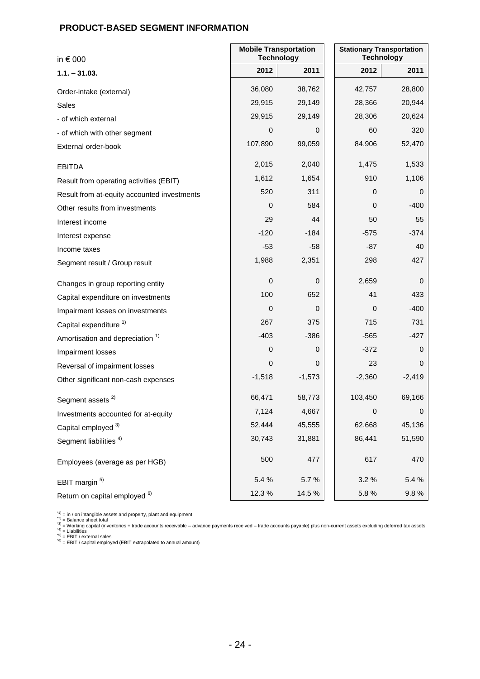#### **PRODUCT-BASED SEGMENT INFORMATION**

| in $\epsilon$ 000                           | <b>Mobile Transportation</b><br><b>Technology</b> | <b>Stationary Transportation</b><br><b>Technology</b> |                  |          |
|---------------------------------------------|---------------------------------------------------|-------------------------------------------------------|------------------|----------|
| $1.1 - 31.03.$                              | 2012                                              | 2011                                                  | 2012             | 2011     |
| Order-intake (external)                     | 36,080                                            | 38,762                                                | 42,757           | 28,800   |
| Sales                                       | 29,915                                            | 29,149                                                | 28,366           | 20,944   |
| - of which external                         | 29,915                                            | 29,149                                                | 28,306           | 20,624   |
| - of which with other segment               | 0                                                 | 0                                                     | 60               | 320      |
| External order-book                         | 107,890                                           | 99,059                                                | 84,906           | 52,470   |
| <b>EBITDA</b>                               | 2,015                                             | 2,040                                                 | 1,475            | 1,533    |
| Result from operating activities (EBIT)     | 1,612                                             | 1,654                                                 | 910              | 1,106    |
| Result from at-equity accounted investments | 520                                               | 311                                                   | 0                | 0        |
| Other results from investments              | 0                                                 | 584                                                   | 0                | -400     |
| Interest income                             | 29                                                | 44                                                    | 50               | 55       |
| Interest expense                            | $-120$                                            | $-184$                                                | $-575$           | $-374$   |
| Income taxes                                | -53                                               | $-58$                                                 | -87              | 40       |
| Segment result / Group result               | 1,988                                             | 2,351                                                 | 298              | 427      |
| Changes in group reporting entity           | 0                                                 | 0                                                     | 2,659            | 0        |
| Capital expenditure on investments          | 100                                               | 652                                                   | 41               | 433      |
| Impairment losses on investments            | 0                                                 | 0                                                     | 0                | -400     |
| Capital expenditure <sup>1)</sup>           | 267                                               | 375                                                   | 715              | 731      |
| Amortisation and depreciation <sup>1)</sup> | $-403$                                            | $-386$                                                | $-565$           | $-427$   |
| Impairment losses                           | 0                                                 | 0                                                     | $-372$           | 0        |
| Reversal of impairment losses               | 0                                                 | 0                                                     | 23               | 0        |
| Other significant non-cash expenses         | $-1,518$                                          | $-1,573$                                              | $-2,360$         | $-2,419$ |
| Segment assets <sup>2)</sup>                | 66,471                                            | 58,773                                                | 103,450          | 69,166   |
| Investments accounted for at-equity         | 7,124                                             | 4,667                                                 | $\boldsymbol{0}$ | 0        |
| Capital employed 3)                         | 52,444                                            | 45,555                                                | 62,668           | 45,136   |
| Segment liabilities <sup>4)</sup>           | 30,743                                            | 31,881                                                | 86,441           | 51,590   |
| Employees (average as per HGB)              | 500                                               | 477                                                   | 617              | 470      |
| EBIT margin <sup>5)</sup>                   | 5.4 %                                             | 5.7%                                                  | 3.2%             | 5.4 %    |
| Return on capital employed <sup>6)</sup>    | 12.3%                                             | 14.5 %                                                | 5.8%             | 9.8%     |

\*\*) = in / on intangible assets and property, plant and equipment<br>\*2) = Balance sheet total<br>\*3) = Working capital (inventories + trade accounts receivable – advance payments received – trade accounts payable) plus non-curr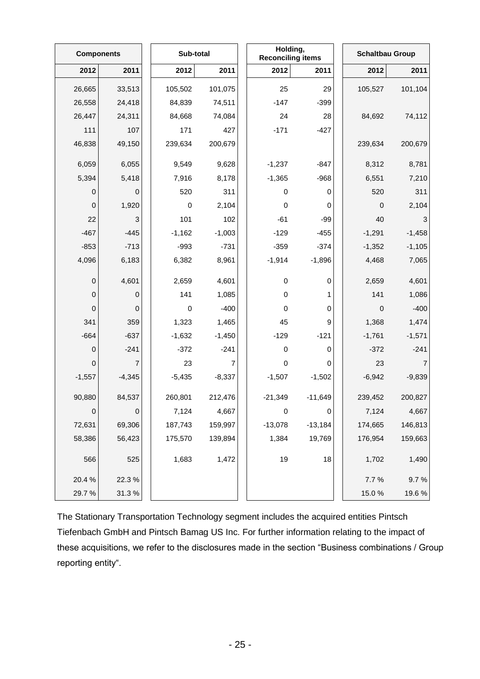|             | <b>Components</b> |  | Sub-total   |          | Holding,<br><b>Reconciling items</b> |           | <b>Schaltbau Group</b> |          |
|-------------|-------------------|--|-------------|----------|--------------------------------------|-----------|------------------------|----------|
| 2012        | 2011              |  | 2012        | 2011     | 2012                                 | 2011      | 2012                   | 2011     |
| 26,665      | 33,513            |  | 105,502     | 101,075  | 25                                   | 29        | 105,527                | 101,104  |
| 26,558      | 24,418            |  | 84,839      | 74,511   | $-147$                               | $-399$    |                        |          |
| 26,447      | 24,311            |  | 84,668      | 74,084   | 24                                   | 28        | 84,692                 | 74,112   |
| 111         | 107               |  | 171         | 427      | $-171$                               | $-427$    |                        |          |
| 46,838      | 49,150            |  | 239,634     | 200,679  |                                      |           | 239,634                | 200,679  |
| 6,059       | 6,055             |  | 9,549       | 9,628    | $-1,237$                             | $-847$    | 8,312                  | 8,781    |
| 5,394       | 5,418             |  | 7,916       | 8,178    | $-1,365$                             | $-968$    | 6,551                  | 7,210    |
| 0           | 0                 |  | 520         | 311      | $\pmb{0}$                            | 0         | 520                    | 311      |
| $\mbox{O}$  | 1,920             |  | $\mathbf 0$ | 2,104    | $\pmb{0}$                            | 0         | $\mathbf 0$            | 2,104    |
| 22          | 3                 |  | 101         | 102      | $-61$                                | $-99$     | 40                     | 3        |
| $-467$      | $-445$            |  | $-1,162$    | $-1,003$ | $-129$                               | $-455$    | $-1,291$               | $-1,458$ |
| $-853$      | $-713$            |  | $-993$      | $-731$   | $-359$                               | $-374$    | $-1,352$               | $-1,105$ |
| 4,096       | 6,183             |  | 6,382       | 8,961    | $-1,914$                             | $-1,896$  | 4,468                  | 7,065    |
| 0           | 4,601             |  | 2,659       | 4,601    | $\pmb{0}$                            | 0         | 2,659                  | 4,601    |
| $\mathsf 0$ | $\pmb{0}$         |  | 141         | 1,085    | $\pmb{0}$                            | 1         | 141                    | 1,086    |
| 0           | 0                 |  | $\pmb{0}$   | $-400$   | 0                                    | 0         | $\pmb{0}$              | $-400$   |
| 341         | 359               |  | 1,323       | 1,465    | 45                                   | 9         | 1,368                  | 1,474    |
| $-664$      | $-637$            |  | $-1,632$    | $-1,450$ | $-129$                               | $-121$    | $-1,761$               | $-1,571$ |
| $\mathbf 0$ | $-241$            |  | $-372$      | $-241$   | $\pmb{0}$                            | 0         | $-372$                 | $-241$   |
| 0           | $\overline{7}$    |  | 23          | 7        | $\pmb{0}$                            | 0         | 23                     | 7        |
| $-1,557$    | $-4,345$          |  | $-5,435$    | $-8,337$ | $-1,507$                             | $-1,502$  | $-6,942$               | $-9,839$ |
| 90,880      | 84,537            |  | 260,801     | 212,476  | $-21,349$                            | $-11,649$ | 239,452                | 200,827  |
| 0           | 0                 |  | 7,124       | 4,667    | $\pmb{0}$                            | 0         | 7,124                  | 4,667    |
| 72,631      | 69,306            |  | 187,743     | 159,997  | $-13,078$                            | $-13,184$ | 174,665                | 146,813  |
| 58,386      | 56,423            |  | 175,570     | 139,894  | 1,384                                | 19,769    | 176,954                | 159,663  |
| 566         | 525               |  | 1,683       | 1,472    | 19                                   | 18        | 1,702                  | 1,490    |
| 20.4 %      | 22.3%             |  |             |          |                                      |           | 7.7%                   | 9.7%     |
| 29.7%       | 31.3%             |  |             |          |                                      |           | 15.0%                  | 19.6%    |

The Stationary Transportation Technology segment includes the acquired entities Pintsch Tiefenbach GmbH and Pintsch Bamag US Inc. For further information relating to the impact of these acquisitions, we refer to the disclosures made in the section "Business combinations / Group reporting entity".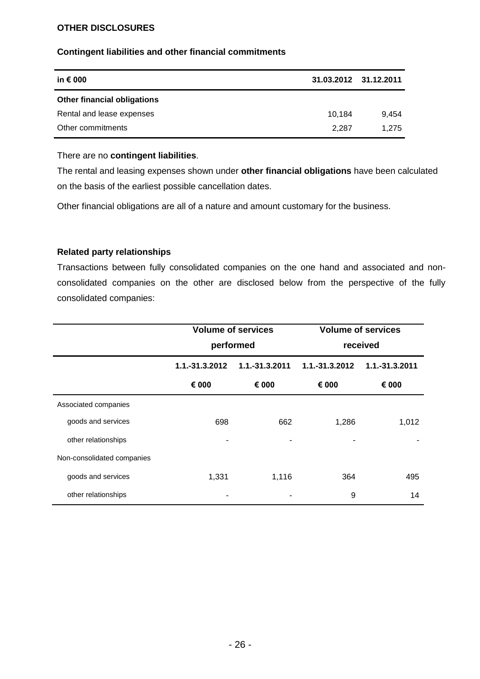#### **OTHER DISCLOSURES**

#### **Contingent liabilities and other financial commitments**

| in € 000                           | 31.03.2012 31.12.2011 |       |
|------------------------------------|-----------------------|-------|
| <b>Other financial obligations</b> |                       |       |
| Rental and lease expenses          | 10.184                | 9.454 |
| Other commitments                  | 2.287                 | 1.275 |

#### There are no **contingent liabilities**.

The rental and leasing expenses shown under **other financial obligations** have been calculated on the basis of the earliest possible cancellation dates.

Other financial obligations are all of a nature and amount customary for the business.

#### **Related party relationships**

Transactions between fully consolidated companies on the one hand and associated and nonconsolidated companies on the other are disclosed below from the perspective of the fully consolidated companies:

|                            | <b>Volume of services</b><br>performed |                | <b>Volume of services</b><br>received |                |
|----------------------------|----------------------------------------|----------------|---------------------------------------|----------------|
|                            |                                        |                |                                       |                |
|                            | 1.1.-31.3.2012                         | 1.1.-31.3.2011 | 1.1.-31.3.2012                        | 1.1.-31.3.2011 |
|                            | € 000                                  | € 000          | € 000                                 | € 000          |
| Associated companies       |                                        |                |                                       |                |
| goods and services         | 698                                    | 662            | 1,286                                 | 1,012          |
| other relationships        | ۰                                      |                |                                       |                |
| Non-consolidated companies |                                        |                |                                       |                |
| goods and services         | 1,331                                  | 1,116          | 364                                   | 495            |
| other relationships        |                                        |                | 9                                     | 14             |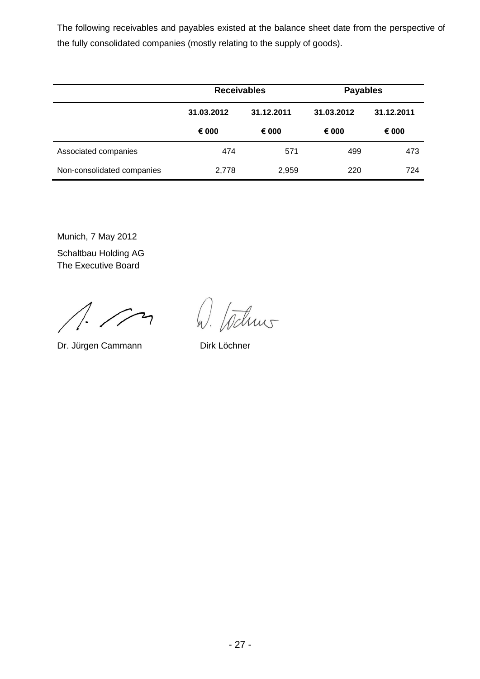The following receivables and payables existed at the balance sheet date from the perspective of the fully consolidated companies (mostly relating to the supply of goods).

|                            | <b>Receivables</b> |            | <b>Payables</b> |            |
|----------------------------|--------------------|------------|-----------------|------------|
|                            | 31.03.2012         | 31.12.2011 | 31.03.2012      | 31.12.2011 |
|                            | € 000              | € 000      | € 000           | € 000      |
| Associated companies       | 474                | 571        | 499             | 473        |
| Non-consolidated companies | 2,778              | 2,959      | 220             | 724        |

Munich, 7 May 2012

Schaltbau Holding AG The Executive Board

 $\rightarrow$ 

Dr. Jürgen Cammann Dirk Löchner

W. Wilms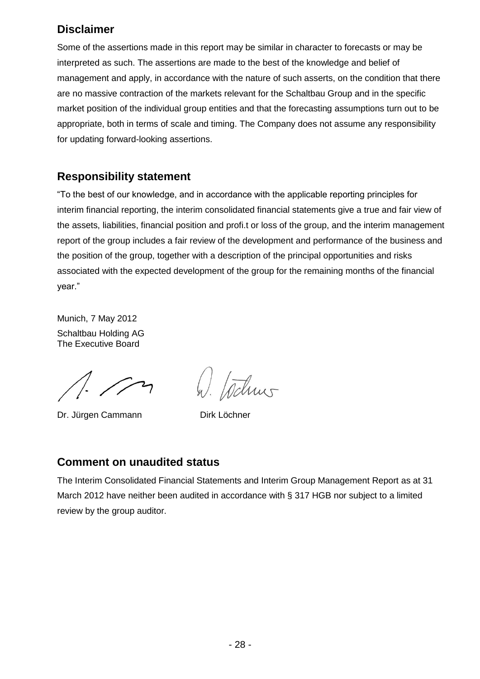## **Disclaimer**

Some of the assertions made in this report may be similar in character to forecasts or may be interpreted as such. The assertions are made to the best of the knowledge and belief of management and apply, in accordance with the nature of such asserts, on the condition that there are no massive contraction of the markets relevant for the Schaltbau Group and in the specific market position of the individual group entities and that the forecasting assumptions turn out to be appropriate, both in terms of scale and timing. The Company does not assume any responsibility for updating forward-looking assertions.

## **Responsibility statement**

"To the best of our knowledge, and in accordance with the applicable reporting principles for interim financial reporting, the interim consolidated financial statements give a true and fair view of the assets, liabilities, financial position and profi.t or loss of the group, and the interim management report of the group includes a fair review of the development and performance of the business and the position of the group, together with a description of the principal opportunities and risks associated with the expected development of the group for the remaining months of the financial year."

Munich, 7 May 2012 Schaltbau Holding AG The Executive Board

Dr. Jürgen Cammann Dirk Löchner

W. tochus

## **Comment on unaudited status**

The Interim Consolidated Financial Statements and Interim Group Management Report as at 31 March 2012 have neither been audited in accordance with § 317 HGB nor subject to a limited review by the group auditor.